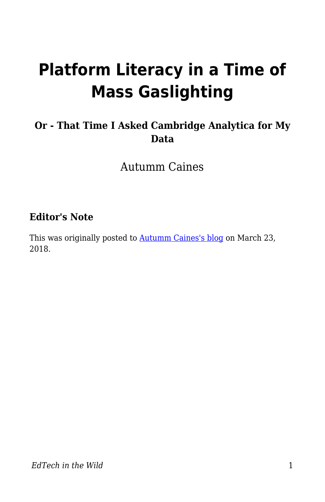# **Platform Literacy in a Time of Mass Gaslighting**

### **Or - That Time I Asked Cambridge Analytica for My Data**

Autumm Caines

### **Editor's Note**

This was originally posted to **Autumm Caines's blog** on March 23, 2018.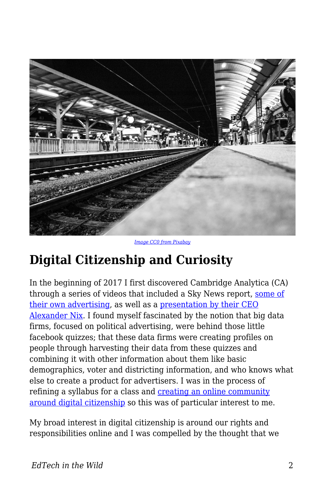

*[Image CC0 from Pixabay](https://pixabay.com/en/railroad-track-wait-black-and-white-2243180/)*

# **Digital Citizenship and Curiosity**

In the beginning of 2017 I first discovered Cambridge Analytica (CA) through a series of videos that included a Sky News report, [some of](https://www.youtube.com/watch?v=zjvy9fFQsEw) [their own advertising,](https://www.youtube.com/watch?v=zjvy9fFQsEw) as well as a [presentation by their CEO](https://www.youtube.com/watch?v=n8Dd5aVXLCc) [Alexander Nix.](https://www.youtube.com/watch?v=n8Dd5aVXLCc) I found myself fascinated by the notion that big data firms, focused on political advertising, were behind those little facebook quizzes; that these data firms were creating profiles on people through harvesting their data from these quizzes and combining it with other information about them like basic demographics, voter and districting information, and who knows what else to create a product for advertisers. I was in the process of refining a syllabus for a class and [creating an online community](https://digciz.org/) [around digital citizenship](https://digciz.org/) so this was of particular interest to me.

My broad interest in digital citizenship is around our rights and responsibilities online and I was compelled by the thought that we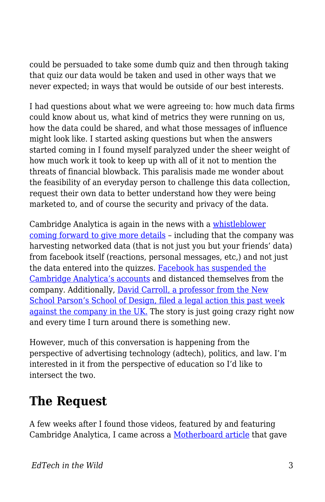could be persuaded to take some dumb quiz and then through taking that quiz our data would be taken and used in other ways that we never expected; in ways that would be outside of our best interests.

I had questions about what we were agreeing to: how much data firms could know about us, what kind of metrics they were running on us, how the data could be shared, and what those messages of influence might look like. I started asking questions but when the answers started coming in I found myself paralyzed under the sheer weight of how much work it took to keep up with all of it not to mention the threats of financial blowback. This paralisis made me wonder about the feasibility of an everyday person to challenge this data collection, request their own data to better understand how they were being marketed to, and of course the security and privacy of the data.

Cambridge Analytica is again in the news with a [whistleblower](https://www.theguardian.com/news/2018/mar/17/data-war-whistleblower-christopher-wylie-faceook-nix-bannon-trump) [coming forward to give more details](https://www.theguardian.com/news/2018/mar/17/data-war-whistleblower-christopher-wylie-faceook-nix-bannon-trump) – including that the company was harvesting networked data (that is not just you but your friends' data) from facebook itself (reactions, personal messages, etc,) and not just the data entered into the quizzes. [Facebook has suspended the](https://www.wsj.com/articles/facebook-suspends-cambridge-analytica-for-failing-to-delete-user-data-1521260051) [Cambridge Analytica's accounts](https://www.wsj.com/articles/facebook-suspends-cambridge-analytica-for-failing-to-delete-user-data-1521260051) and distanced themselves from the company. Additionally, [David Carroll, a professor from the New](https://www.documentcloud.org/documents/4413896-Prof-David-Carroll-UK-Legal-Claim-against.html) [School Parson's School of Design, filed a legal action this past week](https://www.documentcloud.org/documents/4413896-Prof-David-Carroll-UK-Legal-Claim-against.html) [against the company in the UK.](https://www.documentcloud.org/documents/4413896-Prof-David-Carroll-UK-Legal-Claim-against.html) The story is just going crazy right now and every time I turn around there is something new.

However, much of this conversation is happening from the perspective of advertising technology (adtech), politics, and law. I'm interested in it from the perspective of education so I'd like to intersect the two.

## **The Request**

A few weeks after I found those videos, featured by and featuring Cambridge Analytica, I came across a [Motherboard article](https://motherboard.vice.com/en_us/article/mg9vvn/how-our-likes-helped-trump-win) that gave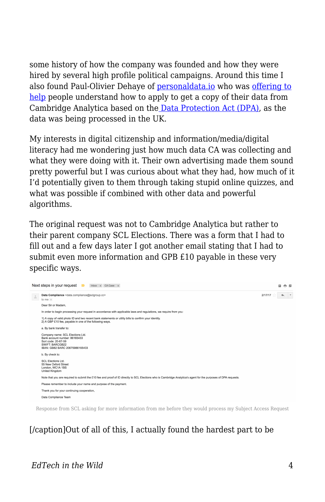some history of how the company was founded and how they were hired by several high profile political campaigns. Around this time I also found Paul-Olivier Dehaye of **personaldata.io** who was [offering to](https://medium.com/personaldata-io/quick-guide-to-asking-cambridge-analytica-for-your-data-52f9e74bd059) [help](https://medium.com/personaldata-io/quick-guide-to-asking-cambridge-analytica-for-your-data-52f9e74bd059) people understand how to apply to get a copy of their data from Cambridge Analytica based on th[e Data Protection Act \(DPA\),](https://www.legislation.gov.uk/ukpga/1998/29/contents) as the data was being processed in the UK.

My interests in digital citizenship and information/media/digital literacy had me wondering just how much data CA was collecting and what they were doing with it. Their own advertising made them sound pretty powerful but I was curious about what they had, how much of it I'd potentially given to them through taking stupid online quizzes, and what was possible if combined with other data and powerful algorithms.

The original request was not to Cambridge Analytica but rather to their parent company SCL Elections. There was a form that I had to fill out and a few days later I got another email stating that I had to submit even more information and GPB £10 payable in these very specific ways.



Response from SCL asking for more information from me before they would process my Subject Access Request

### [/caption]Out of all of this, I actually found the hardest part to be

#### *EdTech in the Wild* 4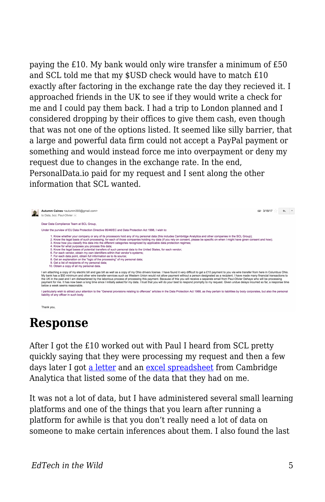paying the £10. My bank would only wire transfer a minimum of £50 and SCL told me that my \$USD check would have to match £10 exactly after factoring in the exchange rate the day they recieved it. I approached friends in the UK to see if they would write a check for me and I could pay them back. I had a trip to London planned and I considered dropping by their offices to give them cash, even though that was not one of the options listed. It seemed like silly barrier, that a large and powerful data firm could not accept a PayPal payment or something and would instead force me into overpayment or deny my request due to changes in the exchange rate. In the end, PersonalData.io paid for my request and I sent along the other information that SCL wanted.



Thank you,

### **Response**

After I got the £10 worked out with Paul I heard from SCL pretty quickly saying that they were processing my request and then a few days later I got [a letter](https://drive.google.com/file/d/1kioq-FHNvsYbszwpooOSPwlb-WYFrgwf/view?usp=sharing) and an [excel spreadsheet](https://docs.google.com/spreadsheets/d/1oi0HbaWXF0_3dvthY9zzfpPvaMBJqUYBJ3pLNrqhKKU/edit?usp=sharing) from Cambridge Analytica that listed some of the data that they had on me.

It was not a lot of data, but I have administered several small learning platforms and one of the things that you learn after running a platform for awhile is that you don't really need a lot of data on someone to make certain inferences about them. I also found the last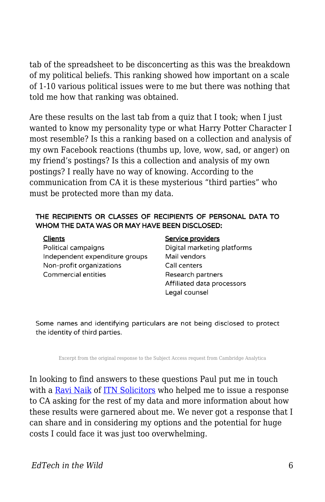tab of the spreadsheet to be disconcerting as this was the breakdown of my political beliefs. This ranking showed how important on a scale of 1-10 various political issues were to me but there was nothing that told me how that ranking was obtained.

Are these results on the last tab from a quiz that I took; when I just wanted to know my personality type or what Harry Potter Character I most resemble? Is this a ranking based on a collection and analysis of my own Facebook reactions (thumbs up, love, wow, sad, or anger) on my friend's postings? Is this a collection and analysis of my own postings? I really have no way of knowing. According to the communication from CA it is these mysterious "third parties" who must be protected more than my data.

#### THE RECIPIENTS OR CLASSES OF RECIPIENTS OF PERSONAL DATA TO WHOM THE DATA WAS OR MAY HAVE BEEN DISCLOSED:

Political campaigns Independent expenditure groups Non-profit organizations **Commercial entities** 

#### Service providers

Digital marketing platforms Mail vendors Call centers Research partners Affiliated data processors Legal counsel

Some names and identifying particulars are not being disclosed to protect the identity of third parties.

Excerpt from the original response to the Subject Access request from Cambridge Analytica

In looking to find answers to these questions Paul put me in touch with a [Ravi Naik](http://www.itnsolicitors.com/our-team/partners/ravi-naik) of [ITN Solicitors](http://www.itnsolicitors.com/) who helped me to issue a response to CA asking for the rest of my data and more information about how these results were garnered about me. We never got a response that I can share and in considering my options and the potential for huge costs I could face it was just too overwhelming.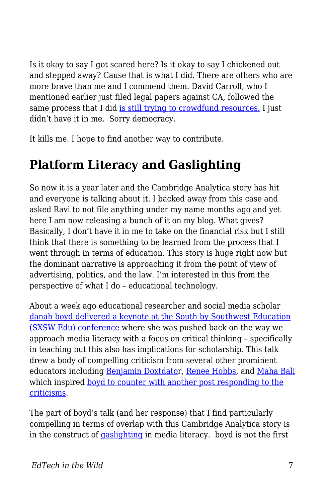Is it okay to say I got scared here? Is it okay to say I chickened out and stepped away? Cause that is what I did. There are others who are more brave than me and I commend them. David Carroll, who I mentioned earlier just filed legal papers against CA, followed the same process that I did [is still trying to crowdfund resources.](https://www.crowdjustice.com/case/scl/) I just didn't have it in me. Sorry democracy.

It kills me. I hope to find another way to contribute.

# **Platform Literacy and Gaslighting**

So now it is a year later and the Cambridge Analytica story has hit and everyone is talking about it. I backed away from this case and asked Ravi to not file anything under my name months ago and yet here I am now releasing a bunch of it on my blog. What gives? Basically, I don't have it in me to take on the financial risk but I still think that there is something to be learned from the process that I went through in terms of education. This story is huge right now but the dominant narrative is approaching it from the point of view of advertising, politics, and the law. I'm interested in this from the perspective of what I do – educational technology.

About a week ago educational researcher and social media scholar [danah boyd delivered a keynote at the South by Southwest Education](https://points.datasociety.net/you-think-you-want-media-literacy-do-you-7cad6af18ec2) [\(SXSW Edu\) conference](https://points.datasociety.net/you-think-you-want-media-literacy-do-you-7cad6af18ec2) where she was pushed back on the way we approach media literacy with a focus on critical thinking – specifically in teaching but this also has implications for scholarship. This talk drew a body of compelling criticism from several other prominent educators including [Benjamin Doxtdator](http://www.longviewoneducation.org/no-cognitive-strengthening-exercises-arent-answer-media-literacy/), [Renee Hobbs,](https://mediaedlab.com/2018/03/10/freedom-to-choose-an-existential-crisis/amp/) and [Maha Bali](https://blog.mahabali.me/social-media/too-critical-not-critical-enough/) which inspired [boyd to counter with another post responding to the](https://medium.com/@zephoria/a-few-responses-to-criticism-of-my-sxsw-edu-keynote-on-media-literacy-7eb2843fae22) [criticisms](https://medium.com/@zephoria/a-few-responses-to-criticism-of-my-sxsw-edu-keynote-on-media-literacy-7eb2843fae22).

The part of boyd's talk (and her response) that I find particularly compelling in terms of overlap with this Cambridge Analytica story is in the construct of [gaslighting](https://medium.com/@sheaemmafett/10-things-i-wish-i-d-known-about-gaslighting-22234cb5e407) in media literacy. boyd is not the first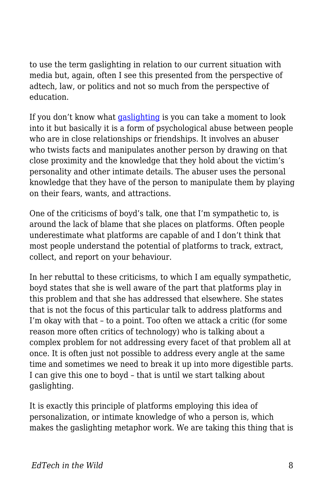to use the term gaslighting in relation to our current situation with media but, again, often I see this presented from the perspective of adtech, law, or politics and not so much from the perspective of education.

If you don't know what [gaslighting](https://www.bustle.com/articles/132207-5-common-phrases-you-may-not-realize-are-gaslighting) is you can take a moment to look into it but basically it is a form of psychological abuse between people who are in close relationships or friendships. It involves an abuser who twists facts and manipulates another person by drawing on that close proximity and the knowledge that they hold about the victim's personality and other intimate details. The abuser uses the personal knowledge that they have of the person to manipulate them by playing on their fears, wants, and attractions.

One of the criticisms of boyd's talk, one that I'm sympathetic to, is around the lack of blame that she places on platforms. Often people underestimate what platforms are capable of and I don't think that most people understand the potential of platforms to track, extract, collect, and report on your behaviour.

In her rebuttal to these criticisms, to which I am equally sympathetic, boyd states that she is well aware of the part that platforms play in this problem and that she has addressed that elsewhere. She states that is not the focus of this particular talk to address platforms and I'm okay with that – to a point. Too often we attack a critic (for some reason more often critics of technology) who is talking about a complex problem for not addressing every facet of that problem all at once. It is often just not possible to address every angle at the same time and sometimes we need to break it up into more digestible parts. I can give this one to boyd – that is until we start talking about gaslighting.

It is exactly this principle of platforms employing this idea of personalization, or intimate knowledge of who a person is, which makes the gaslighting metaphor work. We are taking this thing that is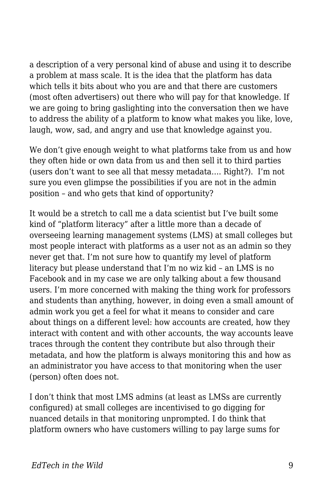a description of a very personal kind of abuse and using it to describe a problem at mass scale. It is the idea that the platform has data which tells it bits about who you are and that there are customers (most often advertisers) out there who will pay for that knowledge. If we are going to bring gaslighting into the conversation then we have to address the ability of a platform to know what makes you like, love, laugh, wow, sad, and angry and use that knowledge against you.

We don't give enough weight to what platforms take from us and how they often hide or own data from us and then sell it to third parties (users don't want to see all that messy metadata…. Right?). I'm not sure you even glimpse the possibilities if you are not in the admin position – and who gets that kind of opportunity?

It would be a stretch to call me a data scientist but I've built some kind of "platform literacy" after a little more than a decade of overseeing learning management systems (LMS) at small colleges but most people interact with platforms as a user not as an admin so they never get that. I'm not sure how to quantify my level of platform literacy but please understand that I'm no wiz kid – an LMS is no Facebook and in my case we are only talking about a few thousand users. I'm more concerned with making the thing work for professors and students than anything, however, in doing even a small amount of admin work you get a feel for what it means to consider and care about things on a different level: how accounts are created, how they interact with content and with other accounts, the way accounts leave traces through the content they contribute but also through their metadata, and how the platform is always monitoring this and how as an administrator you have access to that monitoring when the user (person) often does not.

I don't think that most LMS admins (at least as LMSs are currently configured) at small colleges are incentivised to go digging for nuanced details in that monitoring unprompted. I do think that platform owners who have customers willing to pay large sums for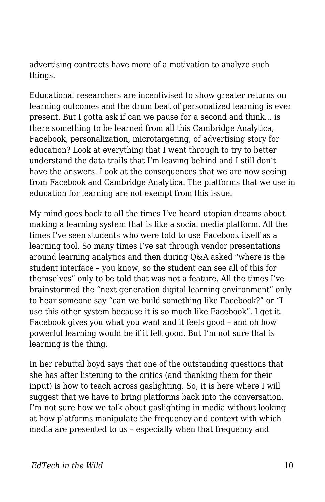advertising contracts have more of a motivation to analyze such things.

Educational researchers are incentivised to show greater returns on learning outcomes and the drum beat of personalized learning is ever present. But I gotta ask if can we pause for a second and think… is there something to be learned from all this Cambridge Analytica, Facebook, personalization, microtargeting, of advertising story for education? Look at everything that I went through to try to better understand the data trails that I'm leaving behind and I still don't have the answers. Look at the consequences that we are now seeing from Facebook and Cambridge Analytica. The platforms that we use in education for learning are not exempt from this issue.

My mind goes back to all the times I've heard utopian dreams about making a learning system that is like a social media platform. All the times I've seen students who were told to use Facebook itself as a learning tool. So many times I've sat through vendor presentations around learning analytics and then during Q&A asked "where is the student interface – you know, so the student can see all of this for themselves" only to be told that was not a feature. All the times I've brainstormed the "next generation digital learning environment" only to hear someone say "can we build something like Facebook?" or "I use this other system because it is so much like Facebook". I get it. Facebook gives you what you want and it feels good – and oh how powerful learning would be if it felt good. But I'm not sure that is learning is the thing.

In her rebuttal boyd says that one of the outstanding questions that she has after listening to the critics (and thanking them for their input) is how to teach across gaslighting. So, it is here where I will suggest that we have to bring platforms back into the conversation. I'm not sure how we talk about gaslighting in media without looking at how platforms manipulate the frequency and context with which media are presented to us – especially when that frequency and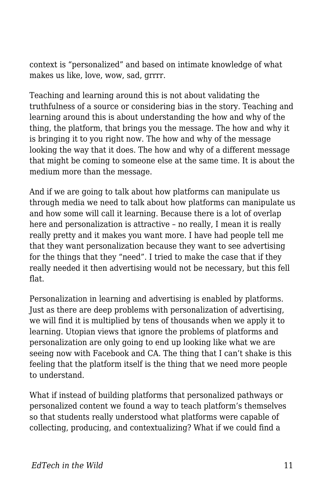context is "personalized" and based on intimate knowledge of what makes us like, love, wow, sad, grrrr.

Teaching and learning around this is not about validating the truthfulness of a source or considering bias in the story. Teaching and learning around this is about understanding the how and why of the thing, the platform, that brings you the message. The how and why it is bringing it to you right now. The how and why of the message looking the way that it does. The how and why of a different message that might be coming to someone else at the same time. It is about the medium more than the message.

And if we are going to talk about how platforms can manipulate us through media we need to talk about how platforms can manipulate us and how some will call it learning. Because there is a lot of overlap here and personalization is attractive – no really, I mean it is really really pretty and it makes you want more. I have had people tell me that they want personalization because they want to see advertising for the things that they "need". I tried to make the case that if they really needed it then advertising would not be necessary, but this fell flat.

Personalization in learning and advertising is enabled by platforms. Just as there are deep problems with personalization of advertising, we will find it is multiplied by tens of thousands when we apply it to learning. Utopian views that ignore the problems of platforms and personalization are only going to end up looking like what we are seeing now with Facebook and CA. The thing that I can't shake is this feeling that the platform itself is the thing that we need more people to understand.

What if instead of building platforms that personalized pathways or personalized content we found a way to teach platform's themselves so that students really understood what platforms were capable of collecting, producing, and contextualizing? What if we could find a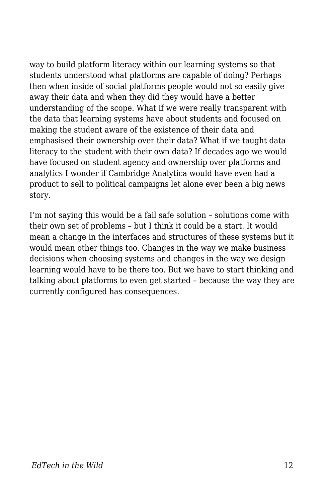way to build platform literacy within our learning systems so that students understood what platforms are capable of doing? Perhaps then when inside of social platforms people would not so easily give away their data and when they did they would have a better understanding of the scope. What if we were really transparent with the data that learning systems have about students and focused on making the student aware of the existence of their data and emphasised their ownership over their data? What if we taught data literacy to the student with their own data? If decades ago we would have focused on student agency and ownership over platforms and analytics I wonder if Cambridge Analytica would have even had a product to sell to political campaigns let alone ever been a big news story.

I'm not saying this would be a fail safe solution – solutions come with their own set of problems – but I think it could be a start. It would mean a change in the interfaces and structures of these systems but it would mean other things too. Changes in the way we make business decisions when choosing systems and changes in the way we design learning would have to be there too. But we have to start thinking and talking about platforms to even get started – because the way they are currently configured has consequences.